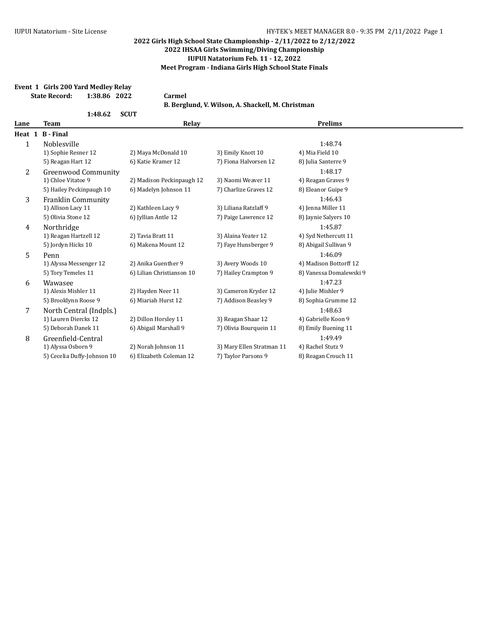## **Event 1 Girls 200 Yard Medley Relay State Record: 1:38.86 2022 Carmel B. Berglund, V. Wilson, A. Shackell, M. Christman 1:48.62 SCUT Lane Team Relay Prelims Heat 1 B - Final** 1.48.74 1) Sophie Resner 12 2) Maya McDonald 10 3) Emily Knott 10 4) Mia Field 10 5) Reagan Hart 12 6) Katie Kramer 12 7) Fiona Halvorsen 12 8) Julia Santerre 9 2 Greenwood Community 1:48.17 1) Chloe Vitatoe 9 2) Madison Peckinpaugh 12 3) Naomi Weaver 11 4) Reagan Graves 9 5) Hailey Peckinpaugh 10 6) Madelyn Johnson 11 7) Charlize Graves 12 8) Eleanor Guipe 9 3 Franklin Community 1:46.43 1) Allison Lacy 11 2) Kathleen Lacy 9 3) Liliana Ratzlaff 9 4) Jenna Miller 11 5) Olivia Stone 12 6) Jyllian Antle 12 7) Paige Lawrence 12 8) Jaynie Salyers 10 4 Northridge 1:45.87 1) Reagan Hartzell 12 2) Tavia Bratt 11 3) Alaina Yeater 12 4) Syd Nethercutt 11 5) Jordyn Hicks 10 6) Makena Mount 12 7) Faye Hunsberger 9 8) Abigail Sullivan 9 5 Penn 1:46.09 1) Alyssa Messenger 12 2) Anika Guenther 9 3) Avery Woods 10 4) Madison Bottorff 12 5) Tory Temeles 11 6) Lilian Christianson 10 7) Hailey Crampton 9 8) Vanessa Domalewski 9 6 Wawasee 1:47.23 1) Alexis Mishler 11 2) Hayden Neer 11 3) Cameron Kryder 12 4) Julie Mishler 9 5) Brooklynn Roose 9 6) Miariah Hurst 12 7) Addison Beasley 9 8) Sophia Grumme 12 7 North Central (Indpls.) 1:48.63 1) Lauren Diercks 12 2) Dillon Horsley 11 3) Reagan Shaar 12 4) Gabrielle Koon 9 5) Deborah Danek 11 6) Abigail Marshall 9 7) Olivia Bourquein 11 8) Emily Buening 11 8 Greenfield-Central 1:49.49 1) Alyssa Osborn 9 2) Norah Johnson 11 3) Mary Ellen Stratman 11 4) Rachel Stutz 9 5) Cecelia Duffy-Johnson 10 6) Elizabeth Coleman 12 7 Taylor Parsons 9 8) Reagan Crouch 11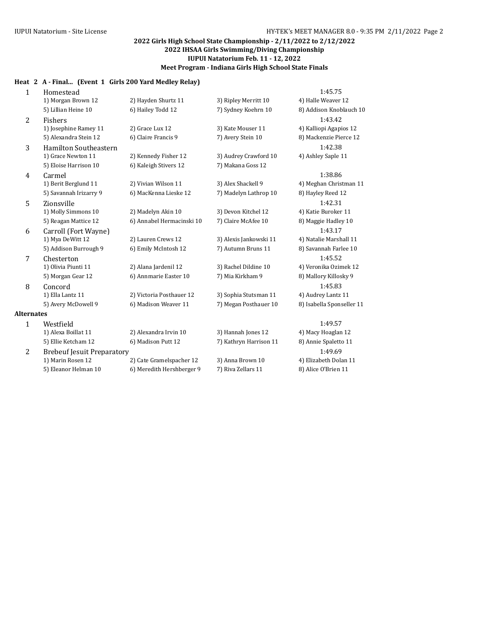# **Heat 2 A - Final... (Event 1 Girls 200 Yard Medley Relay)**

| $\mathbf{1}$      | Homestead                         |                           |                        | 1:45.75                   |
|-------------------|-----------------------------------|---------------------------|------------------------|---------------------------|
|                   | 1) Morgan Brown 12                | 2) Hayden Shurtz 11       | 3) Ripley Merritt 10   | 4) Halle Weaver 12        |
|                   | 5) Lillian Heine 10               | 6) Hailey Todd 12         | 7) Sydney Koehrn 10    | 8) Addison Knoblauch 10   |
| 2                 | <b>Fishers</b>                    |                           |                        | 1:43.42                   |
|                   | 1) Josephine Ramey 11             | 2) Grace Lux 12           | 3) Kate Mouser 11      | 4) Kalliopi Agapios 12    |
|                   | 5) Alexandra Stein 12             | 6) Claire Francis 9       | 7) Avery Stein 10      | 8) Mackenzie Pierce 12    |
| 3                 | <b>Hamilton Southeastern</b>      |                           |                        | 1:42.38                   |
|                   | 1) Grace Newton 11                | 2) Kennedy Fisher 12      | 3) Audrey Crawford 10  | 4) Ashley Saple 11        |
|                   | 5) Eloise Harrison 10             | 6) Kaleigh Stivers 12     | 7) Makana Goss 12      |                           |
| 4                 | Carmel                            |                           |                        | 1:38.86                   |
|                   | 1) Berit Berglund 11              | 2) Vivian Wilson 11       | 3) Alex Shackell 9     | 4) Meghan Christman 11    |
|                   | 5) Savannah Irizarry 9            | 6) MacKenna Lieske 12     | 7) Madelyn Lathrop 10  | 8) Hayley Reed 12         |
| 5                 | Zionsville                        |                           |                        | 1:42.31                   |
|                   | 1) Molly Simmons 10               | 2) Madelyn Akin 10        | 3) Devon Kitchel 12    | 4) Katie Buroker 11       |
|                   | 5) Reagan Mattice 12              | 6) Annabel Hermacinski 10 | 7) Claire McAfee 10    | 8) Maggie Hadley 10       |
| 6                 | Carroll (Fort Wayne)              |                           |                        | 1:43.17                   |
|                   | 1) Mya DeWitt 12                  | 2) Lauren Crews 12        | 3) Alexis Jankowski 11 | 4) Natalie Marshall 11    |
|                   | 5) Addison Burrough 9             | 6) Emily McIntosh 12      | 7) Autumn Bruns 11     | 8) Savannah Farlee 10     |
| 7                 | Chesterton                        |                           |                        | 1:45.52                   |
|                   | 1) Olivia Piunti 11               | 2) Alana Jardenil 12      | 3) Rachel Dildine 10   | 4) Veronika Ozimek 12     |
|                   | 5) Morgan Gear 12                 | 6) Annmarie Easter 10     | 7) Mia Kirkham 9       | 8) Mallory Killosky 9     |
| 8                 | Concord                           |                           |                        | 1:45.83                   |
|                   | 1) Ella Lantz 11                  | 2) Victoria Posthauer 12  | 3) Sophia Stutsman 11  | 4) Audrey Lantz 11        |
|                   | 5) Avery McDowell 9               | 6) Madison Weaver 11      | 7) Megan Posthauer 10  | 8) Isabella Sponseller 11 |
| <b>Alternates</b> |                                   |                           |                        |                           |
| $\mathbf{1}$      | Westfield                         |                           |                        | 1:49.57                   |
|                   | 1) Alexa Boillat 11               | 2) Alexandra Irvin 10     | 3) Hannah Jones 12     | 4) Macy Hoaglan 12        |
|                   | 5) Ellie Ketcham 12               | 6) Madison Putt 12        | 7) Kathryn Harrison 11 | 8) Annie Spaletto 11      |
| 2                 | <b>Brebeuf Jesuit Preparatory</b> |                           |                        | 1:49.69                   |
|                   | 1) Marin Rosen 12                 | 2) Cate Gramelspacher 12  | 3) Anna Brown 10       | 4) Elizabeth Dolan 11     |
|                   | 5) Eleanor Helman 10              | 6) Meredith Hershberger 9 | 7) Riva Zellars 11     | 8) Alice O'Brien 11       |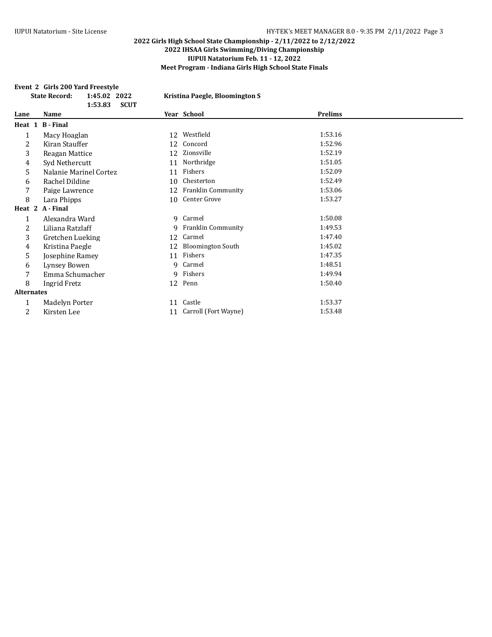#### **Event 2 Girls 200 Yard Freestyle**

|                   | 1:45.02 2022<br><b>State Record:</b><br>1:53.83<br><b>SCUT</b> |    | Kristina Paegle, Bloomington S |         |  |
|-------------------|----------------------------------------------------------------|----|--------------------------------|---------|--|
| Lane              | Name                                                           |    | Year School                    | Prelims |  |
|                   | Heat 1 B - Final                                               |    |                                |         |  |
| 1                 | Macy Hoaglan                                                   | 12 | Westfield                      | 1:53.16 |  |
| 2                 | Kiran Stauffer                                                 | 12 | Concord                        | 1:52.96 |  |
| 3                 | Reagan Mattice                                                 | 12 | Zionsville                     | 1:52.19 |  |
| 4                 | Syd Nethercutt                                                 | 11 | Northridge                     | 1:51.05 |  |
| 5                 | Nalanie Marinel Cortez                                         | 11 | Fishers                        | 1:52.09 |  |
| 6                 | Rachel Dildine                                                 | 10 | Chesterton                     | 1:52.49 |  |
| 7                 | Paige Lawrence                                                 | 12 | <b>Franklin Community</b>      | 1:53.06 |  |
| 8                 | Lara Phipps                                                    | 10 | Center Grove                   | 1:53.27 |  |
|                   | Heat 2 A - Final                                               |    |                                |         |  |
| $\mathbf{1}$      | Alexandra Ward                                                 |    | 9 Carmel                       | 1:50.08 |  |
| 2                 | Liliana Ratzlaff                                               |    | 9 Franklin Community           | 1:49.53 |  |
| 3                 | Gretchen Lueking                                               | 12 | Carmel                         | 1:47.40 |  |
| 4                 | Kristina Paegle                                                | 12 | <b>Bloomington South</b>       | 1:45.02 |  |
| 5                 | Josephine Ramey                                                | 11 | Fishers                        | 1:47.35 |  |
| 6                 | Lynsey Bowen                                                   | 9  | Carmel                         | 1:48.51 |  |
| 7                 | Emma Schumacher                                                |    | 9 Fishers                      | 1:49.94 |  |
| 8                 | Ingrid Fretz                                                   |    | 12 Penn                        | 1:50.40 |  |
| <b>Alternates</b> |                                                                |    |                                |         |  |
| 1                 | Madelyn Porter                                                 |    | 11 Castle                      | 1:53.37 |  |
| 2                 | Kirsten Lee                                                    |    | 11 Carroll (Fort Wayne)        | 1:53.48 |  |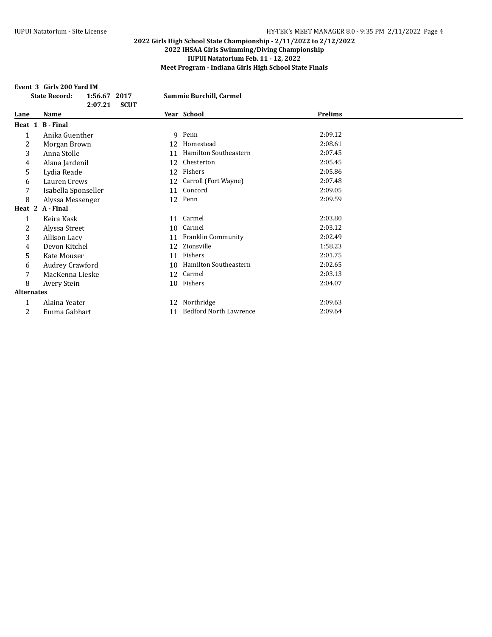#### **Event 3 Girls 200 Yard IM**

|                   | <b>State Record:</b> | 1:56.67 2017<br>2:07.21<br><b>SCUT</b> |    | Sammie Burchill, Carmel       |                |  |
|-------------------|----------------------|----------------------------------------|----|-------------------------------|----------------|--|
| Lane              | Name                 |                                        |    | Year School                   | <b>Prelims</b> |  |
|                   | Heat 1 B - Final     |                                        |    |                               |                |  |
| 1                 | Anika Guenther       |                                        | 9  | Penn                          | 2:09.12        |  |
| 2                 | Morgan Brown         |                                        | 12 | Homestead                     | 2:08.61        |  |
| 3                 | Anna Stolle          |                                        | 11 | Hamilton Southeastern         | 2:07.45        |  |
| 4                 | Alana Jardenil       |                                        | 12 | Chesterton                    | 2:05.45        |  |
| 5                 | Lydia Reade          |                                        | 12 | Fishers                       | 2:05.86        |  |
| 6                 | Lauren Crews         |                                        | 12 | Carroll (Fort Wayne)          | 2:07.48        |  |
| 7                 | Isabella Sponseller  |                                        | 11 | Concord                       | 2:09.05        |  |
| 8                 | Alyssa Messenger     |                                        | 12 | Penn                          | 2:09.59        |  |
|                   | Heat 2 A-Final       |                                        |    |                               |                |  |
| 1                 | Keira Kask           |                                        | 11 | Carmel                        | 2:03.80        |  |
| 2                 | Alyssa Street        |                                        | 10 | Carmel                        | 2:03.12        |  |
| 3                 | Allison Lacy         |                                        | 11 | <b>Franklin Community</b>     | 2:02.49        |  |
| 4                 | Devon Kitchel        |                                        | 12 | Zionsville                    | 1:58.23        |  |
| 5                 | Kate Mouser          |                                        | 11 | Fishers                       | 2:01.75        |  |
| 6                 | Audrey Crawford      |                                        | 10 | Hamilton Southeastern         | 2:02.65        |  |
|                   | MacKenna Lieske      |                                        | 12 | Carmel                        | 2:03.13        |  |
| 8                 | Avery Stein          |                                        | 10 | Fishers                       | 2:04.07        |  |
| <b>Alternates</b> |                      |                                        |    |                               |                |  |
| 1                 | Alaina Yeater        |                                        | 12 | Northridge                    | 2:09.63        |  |
| 2                 | Emma Gabhart         |                                        | 11 | <b>Bedford North Lawrence</b> | 2:09.64        |  |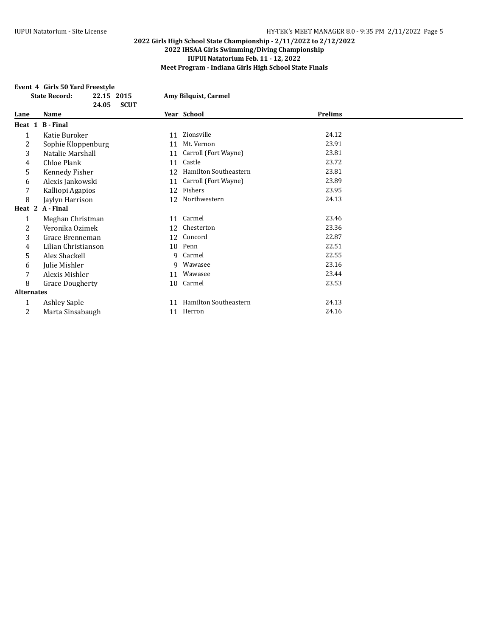#### **Event 4 Girls 50 Yard Freestyle**

|                   | <b>State Record:</b>   | 24.05 | 22.15 2015<br><b>SCUT</b> |    | Amy Bilquist, Carmel  |                |  |
|-------------------|------------------------|-------|---------------------------|----|-----------------------|----------------|--|
| Lane              | Name                   |       |                           |    | Year School           | <b>Prelims</b> |  |
| Heat 1            | <b>B</b> - Final       |       |                           |    |                       |                |  |
| 1                 | Katie Buroker          |       |                           | 11 | Zionsville            | 24.12          |  |
| 2                 | Sophie Kloppenburg     |       |                           | 11 | Mt. Vernon            | 23.91          |  |
| 3                 | Natalie Marshall       |       |                           | 11 | Carroll (Fort Wayne)  | 23.81          |  |
| 4                 | Chloe Plank            |       |                           | 11 | Castle                | 23.72          |  |
| 5                 | Kennedy Fisher         |       |                           | 12 | Hamilton Southeastern | 23.81          |  |
| 6                 | Alexis Jankowski       |       |                           | 11 | Carroll (Fort Wayne)  | 23.89          |  |
| 7                 | Kalliopi Agapios       |       |                           | 12 | Fishers               | 23.95          |  |
| 8                 | Jaylyn Harrison        |       |                           | 12 | Northwestern          | 24.13          |  |
| Heat 2            | A - Final              |       |                           |    |                       |                |  |
| 1                 | Meghan Christman       |       |                           | 11 | Carmel                | 23.46          |  |
| 2                 | Veronika Ozimek        |       |                           | 12 | Chesterton            | 23.36          |  |
| 3                 | Grace Brenneman        |       |                           | 12 | Concord               | 22.87          |  |
| 4                 | Lilian Christianson    |       |                           | 10 | Penn                  | 22.51          |  |
| 5                 | Alex Shackell          |       |                           | q  | Carmel                | 22.55          |  |
| 6                 | Julie Mishler          |       |                           | 9  | Wawasee               | 23.16          |  |
|                   | Alexis Mishler         |       |                           | 11 | Wawasee               | 23.44          |  |
| 8                 | <b>Grace Dougherty</b> |       |                           | 10 | Carmel                | 23.53          |  |
| <b>Alternates</b> |                        |       |                           |    |                       |                |  |
| 1                 | <b>Ashley Saple</b>    |       |                           | 11 | Hamilton Southeastern | 24.13          |  |
| 2                 | Marta Sinsabaugh       |       |                           | 11 | Herron                | 24.16          |  |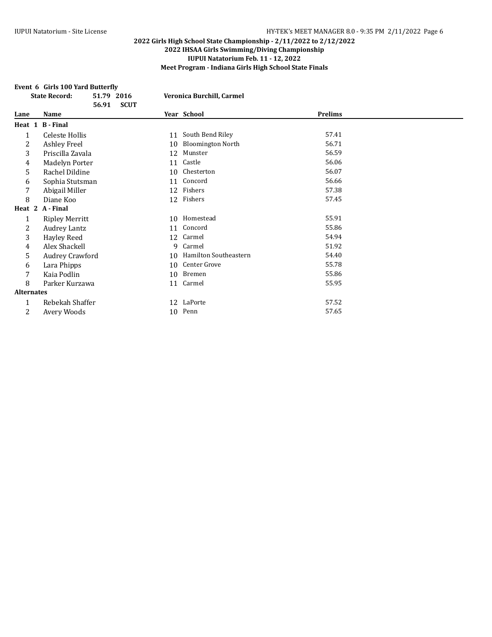#### **Event 6 Girls 100 Yard Butterfly**

|                   | <b>State Record:</b>  | 51.79 2016<br>56.91<br><b>SCUT</b> |    | Veronica Burchill, Carmel |                |  |
|-------------------|-----------------------|------------------------------------|----|---------------------------|----------------|--|
| Lane              | Name                  |                                    |    | Year School               | <b>Prelims</b> |  |
|                   | Heat 1 B-Final        |                                    |    |                           |                |  |
| 1                 | Celeste Hollis        |                                    | 11 | South Bend Riley          | 57.41          |  |
| 2                 | <b>Ashley Freel</b>   |                                    | 10 | <b>Bloomington North</b>  | 56.71          |  |
| 3                 | Priscilla Zavala      |                                    | 12 | Munster                   | 56.59          |  |
| 4                 | Madelyn Porter        |                                    | 11 | Castle                    | 56.06          |  |
| 5                 | Rachel Dildine        |                                    | 10 | Chesterton                | 56.07          |  |
| 6                 | Sophia Stutsman       |                                    | 11 | Concord                   | 56.66          |  |
| 7                 | Abigail Miller        |                                    | 12 | Fishers                   | 57.38          |  |
| 8                 | Diane Koo             |                                    |    | 12 Fishers                | 57.45          |  |
|                   | Heat 2 A - Final      |                                    |    |                           |                |  |
| 1                 | <b>Ripley Merritt</b> |                                    | 10 | Homestead                 | 55.91          |  |
| 2                 | <b>Audrey Lantz</b>   |                                    | 11 | Concord                   | 55.86          |  |
| 3                 | Hayley Reed           |                                    | 12 | Carmel                    | 54.94          |  |
| 4                 | Alex Shackell         |                                    | 9  | Carmel                    | 51.92          |  |
| 5                 | Audrey Crawford       |                                    | 10 | Hamilton Southeastern     | 54.40          |  |
| 6                 | Lara Phipps           |                                    | 10 | Center Grove              | 55.78          |  |
| 7                 | Kaia Podlin           |                                    | 10 | Bremen                    | 55.86          |  |
| 8                 | Parker Kurzawa        |                                    | 11 | Carmel                    | 55.95          |  |
| <b>Alternates</b> |                       |                                    |    |                           |                |  |
| 1                 | Rebekah Shaffer       |                                    |    | 12 LaPorte                | 57.52          |  |
| 2                 | Avery Woods           |                                    | 10 | Penn                      | 57.65          |  |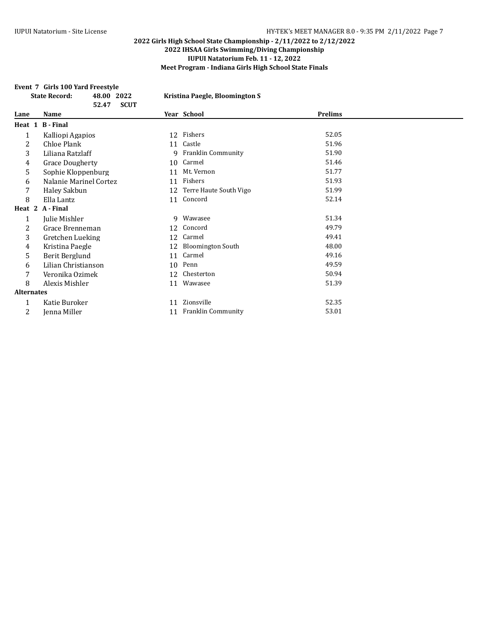#### **Event 7 Girls 100 Yard Freestyle**

|                   | <b>State Record:</b><br>48.00<br>52.47 | 2022<br><b>SCUT</b> |    | Kristina Paegle, Bloomington S |                |  |
|-------------------|----------------------------------------|---------------------|----|--------------------------------|----------------|--|
| Lane              | Name                                   |                     |    | Year School                    | <b>Prelims</b> |  |
| Heat 1            | <b>B</b> - Final                       |                     |    |                                |                |  |
| 1                 | Kalliopi Agapios                       |                     | 12 | Fishers                        | 52.05          |  |
| 2                 | Chloe Plank                            |                     | 11 | Castle                         | 51.96          |  |
| 3                 | Liliana Ratzlaff                       |                     | 9  | <b>Franklin Community</b>      | 51.90          |  |
| 4                 | <b>Grace Dougherty</b>                 |                     | 10 | Carmel                         | 51.46          |  |
| 5                 | Sophie Kloppenburg                     |                     | 11 | Mt. Vernon                     | 51.77          |  |
| 6                 | Nalanie Marinel Cortez                 |                     | 11 | Fishers                        | 51.93          |  |
| 7                 | Haley Sakbun                           |                     | 12 | Terre Haute South Vigo         | 51.99          |  |
| 8                 | Ella Lantz                             |                     | 11 | Concord                        | 52.14          |  |
| Heat 2            | A - Final                              |                     |    |                                |                |  |
| 1                 | Julie Mishler                          |                     | 9  | Wawasee                        | 51.34          |  |
| 2                 | Grace Brenneman                        |                     | 12 | Concord                        | 49.79          |  |
| 3                 | Gretchen Lueking                       |                     | 12 | Carmel                         | 49.41          |  |
| 4                 | Kristina Paegle                        |                     | 12 | <b>Bloomington South</b>       | 48.00          |  |
| 5                 | Berit Berglund                         |                     | 11 | Carmel                         | 49.16          |  |
| 6                 | Lilian Christianson                    |                     | 10 | Penn                           | 49.59          |  |
| 7                 | Veronika Ozimek                        |                     | 12 | Chesterton                     | 50.94          |  |
| 8                 | Alexis Mishler                         |                     | 11 | Wawasee                        | 51.39          |  |
| <b>Alternates</b> |                                        |                     |    |                                |                |  |
| 1                 | Katie Buroker                          |                     | 11 | Zionsville                     | 52.35          |  |
| 2                 | Jenna Miller                           |                     | 11 | Franklin Community             | 53.01          |  |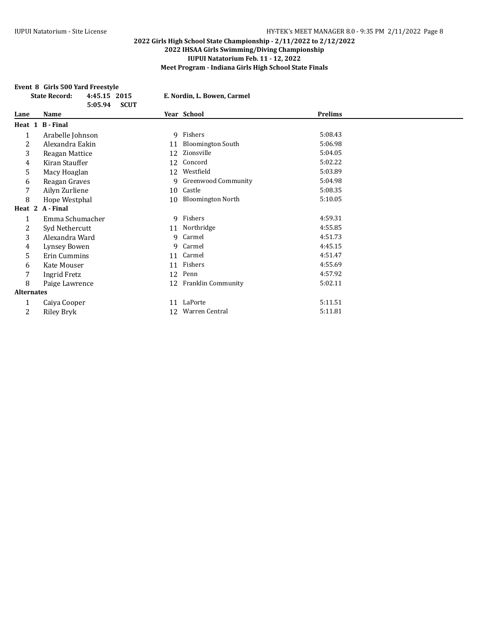#### **Event 8 Girls 500 Yard Freestyle**

|                   | <b>State Record:</b> | 4:45.15 2015<br><b>SCUT</b><br>5:05.94 |    | E. Nordin, L. Bowen, Carmel |                |  |
|-------------------|----------------------|----------------------------------------|----|-----------------------------|----------------|--|
| Lane              | Name                 |                                        |    | Year School                 | <b>Prelims</b> |  |
|                   | Heat 1 B-Final       |                                        |    |                             |                |  |
| 1                 | Arabelle Johnson     |                                        |    | 9 Fishers                   | 5:08.43        |  |
| 2                 | Alexandra Eakin      |                                        | 11 | <b>Bloomington South</b>    | 5:06.98        |  |
| 3                 | Reagan Mattice       |                                        | 12 | Zionsville                  | 5:04.05        |  |
| 4                 | Kiran Stauffer       |                                        | 12 | Concord                     | 5:02.22        |  |
| 5                 | Macy Hoaglan         |                                        | 12 | Westfield                   | 5:03.89        |  |
| 6                 | Reagan Graves        |                                        | 9  | <b>Greenwood Community</b>  | 5:04.98        |  |
| 7                 | Ailyn Zurliene       |                                        | 10 | Castle                      | 5:08.35        |  |
| 8                 | Hope Westphal        |                                        | 10 | <b>Bloomington North</b>    | 5:10.05        |  |
|                   | Heat 2 A-Final       |                                        |    |                             |                |  |
| $\mathbf{1}$      | Emma Schumacher      |                                        |    | 9 Fishers                   | 4:59.31        |  |
| 2                 | Syd Nethercutt       |                                        | 11 | Northridge                  | 4:55.85        |  |
| 3                 | Alexandra Ward       |                                        | 9  | Carmel                      | 4:51.73        |  |
| 4                 | Lynsey Bowen         |                                        | 9  | Carmel                      | 4:45.15        |  |
| 5                 | Erin Cummins         |                                        | 11 | Carmel                      | 4:51.47        |  |
| 6                 | Kate Mouser          |                                        | 11 | Fishers                     | 4:55.69        |  |
| 7                 | <b>Ingrid Fretz</b>  |                                        | 12 | Penn                        | 4:57.92        |  |
| 8                 | Paige Lawrence       |                                        | 12 | Franklin Community          | 5:02.11        |  |
| <b>Alternates</b> |                      |                                        |    |                             |                |  |
| 1                 | Caiya Cooper         |                                        | 11 | LaPorte                     | 5:11.51        |  |
| 2                 | Riley Bryk           |                                        | 12 | Warren Central              | 5:11.81        |  |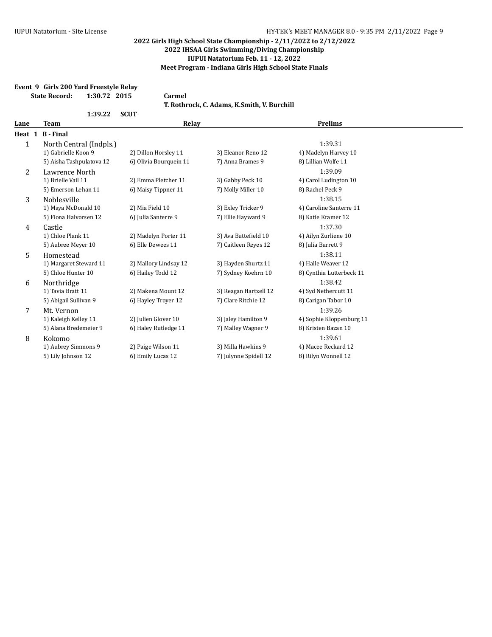## **Event 9 Girls 200 Yard Freestyle Relay State Record: 1:30.72 2015 Carmel T. Rothrock, C. Adams, K.Smith, V. Burchill 1:39.22 SCUT Lane Team Relay Prelims Heat 1 B - Final** 1 North Central (Indpls.) 1:39.31 1) Gabrielle Koon 9 2) Dillon Horsley 11 3) Eleanor Reno 12 4) Madelyn Harvey 10 5) Aisha Tashpulatova 12 6) Olivia Bourquein 11 7) Anna Brames 9 8) Lillian Wolfe 11 2 Lawrence North 1:39.09 1) Brielle Vail 11 2) Emma Pletcher 11 3) Gabby Peck 10 4) Carol Ludington 10 5) Emerson Lehan 11 6) Maisy Tippner 11 7) Molly Miller 10 8) Rachel Peck 9 3 Noblesville 1:38.15 1) Maya McDonald 10 2) Mia Field 10 3) Exley Tricker 9 4) Caroline Santerre 11 5) Fiona Halvorsen 12 (6) Julia Santerre 9 (7) Ellie Hayward 9 (8) Katie Kramer 12 4 Castle 1:37.30 1) Chloe Plank 11 2) Madelyn Porter 11 3) Ava Buttefield 10 4) Ailyn Zurliene 10 5) Aubree Meyer 10 6) Elle Dewees 11 7) Caitleen Reyes 12 8) Julia Barrett 9 5 Homestead 1:38.11 1) Margaret Steward 11 2) Mallory Lindsay 12 3) Hayden Shurtz 11 4) Halle Weaver 12 5) Chloe Hunter 10 6) Hailey Todd 12 7) Sydney Koehrn 10 8) Cynthia Lutterbeck 11 6 Northridge 1:38.42<br>
1) Tavia Bratt 11 11 12 1:38.42 1) 2) Makena Mount 12 13 3) Reagan Hartzell 12 12 4) Syd Nethercutt 11 3) Reagan Hartzell 12 5) Abigail Sullivan 9 6) Hayley Troyer 12 7) Clare Ritchie 12 8) Carigan Tabor 10 7 Mt. Vernon 1:39.26 1) Kaleigh Kelley 11 2) Julien Glover 10 3) Jaley Hamilton 9 4) Sophie Kloppenburg 11 5) Alana Bredemeier 9 6) Haley Rutledge 11 7) Malley Wagner 9 8) Kristen Bazan 10 8 Kokomo 1:39.61 1) Aubrey Simmons 9 2) Paige Wilson 11 3) Milla Hawkins 9 4) Macee Reckard 12 5) Lily Johnson 12 6) Emily Lucas 12 7) Julynne Spidell 12 8) Rilyn Wonnell 12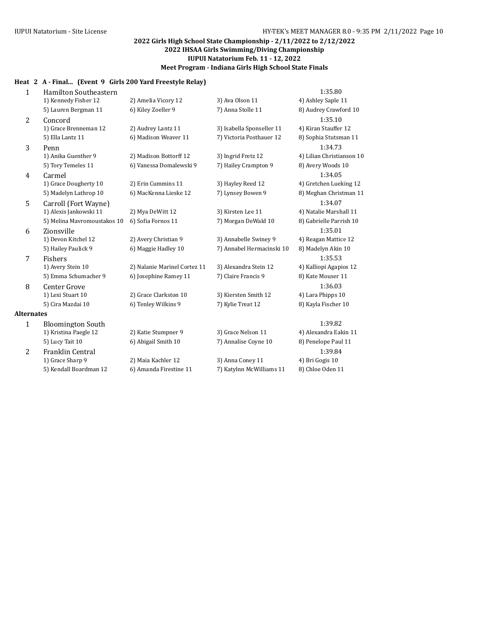## **Heat 2 A - Final... (Event 9 Girls 200 Yard Freestyle Relay)**

| $\mathbf{1}$      | Hamilton Southeastern       |                              |                           | 1:35.80                   |
|-------------------|-----------------------------|------------------------------|---------------------------|---------------------------|
|                   | 1) Kennedy Fisher 12        | 2) Amelia Vicory 12          | 3) Ava Olson 11           | 4) Ashley Saple 11        |
|                   | 5) Lauren Bergman 11        | 6) Kiley Zoeller 9           | 7) Anna Stolle 11         | 8) Audrey Crawford 10     |
| 2                 | Concord                     |                              |                           | 1:35.10                   |
|                   | 1) Grace Brenneman 12       | 2) Audrey Lantz 11           | 3) Isabella Sponseller 11 | 4) Kiran Stauffer 12      |
|                   | 5) Ella Lantz 11            | 6) Madison Weaver 11         | 7) Victoria Posthauer 12  | 8) Sophia Stutsman 11     |
| 3                 | Penn                        |                              |                           | 1:34.73                   |
|                   | 1) Anika Guenther 9         | 2) Madison Bottorff 12       | 3) Ingrid Fretz 12        | 4) Lilian Christianson 10 |
|                   | 5) Tory Temeles 11          | 6) Vanessa Domalewski 9      | 7) Hailey Crampton 9      | 8) Avery Woods 10         |
| 4                 | Carmel                      |                              |                           | 1:34.05                   |
|                   | 1) Grace Dougherty 10       | 2) Erin Cummins 11           | 3) Hayley Reed 12         | 4) Gretchen Lueking 12    |
|                   | 5) Madelyn Lathrop 10       | 6) MacKenna Lieske 12        | 7) Lynsey Bowen 9         | 8) Meghan Christman 11    |
| 5                 | Carroll (Fort Wayne)        |                              |                           | 1:34.07                   |
|                   | 1) Alexis Jankowski 11      | 2) Mya DeWitt 12             | 3) Kirsten Lee 11         | 4) Natalie Marshall 11    |
|                   | 5) Melina Mavromoustakos 10 | 6) Sofia Fornos 11           | 7) Morgan DeWald 10       | 8) Gabrielle Parrish 10   |
| 6                 | Zionsville                  |                              |                           | 1:35.01                   |
|                   | 1) Devon Kitchel 12         | 2) Avery Christian 9         | 3) Annabelle Swiney 9     | 4) Reagan Mattice 12      |
|                   | 5) Hailey Paulick 9         | 6) Maggie Hadley 10          | 7) Annabel Hermacinski 10 | 8) Madelyn Akin 10        |
| 7                 | Fishers                     |                              |                           | 1:35.53                   |
|                   | 1) Avery Stein 10           | 2) Nalanie Marinel Cortez 11 | 3) Alexandra Stein 12     | 4) Kalliopi Agapios 12    |
|                   | 5) Emma Schumacher 9        | 6) Josephine Ramey 11        | 7) Claire Francis 9       | 8) Kate Mouser 11         |
| 8                 | <b>Center Grove</b>         |                              |                           | 1:36.03                   |
|                   | 1) Lexi Stuart 10           | 2) Grace Clarkston 10        | 3) Kiersten Smith 12      | 4) Lara Phipps 10         |
|                   | 5) Cira Mazdai 10           | 6) Tenley Wilkins 9          | 7) Kylie Treat 12         | 8) Kayla Fischer 10       |
| <b>Alternates</b> |                             |                              |                           |                           |
| $\mathbf{1}$      | <b>Bloomington South</b>    |                              |                           | 1:39.82                   |
|                   | 1) Kristina Paegle 12       | 2) Katie Stumpner 9          | 3) Grace Nelson 11        | 4) Alexandra Eakin 11     |
|                   | 5) Lucy Tait 10             | 6) Abigail Smith 10          | 7) Annalise Coyne 10      | 8) Penelope Paul 11       |
| 2                 | Franklin Central            |                              |                           | 1:39.84                   |
|                   | 1) Grace Sharp 9            | 2) Maia Kachler 12           | 3) Anna Coney 11          | 4) Bri Gogis 10           |
|                   | 5) Kendall Boardman 12      | 6) Amanda Firestine 11       | 7) Katylnn McWilliams 11  | 8) Chloe Oden 11          |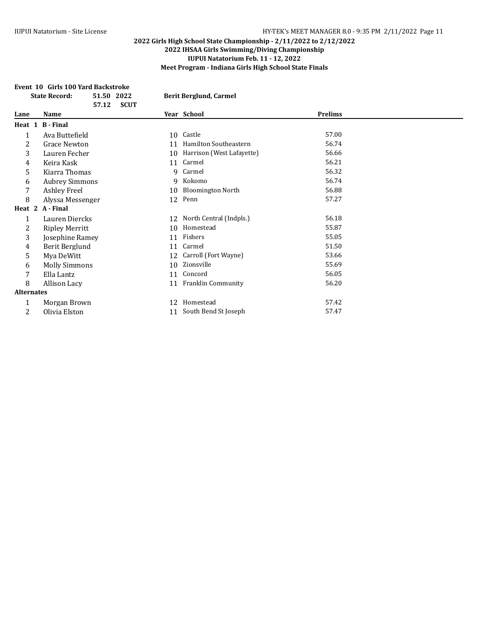## **Event 10 Girls 100 Yard Backstroke**

|                   | <b>State Record:</b>  | 51.50 2022<br>57.12 | <b>SCUT</b> |    | <b>Berit Berglund, Carmel</b> |                |  |
|-------------------|-----------------------|---------------------|-------------|----|-------------------------------|----------------|--|
| Lane              | Name                  |                     |             |    | Year School                   | <b>Prelims</b> |  |
|                   | Heat 1 B - Final      |                     |             |    |                               |                |  |
| $\mathbf{1}$      | Ava Buttefield        |                     |             |    | 10 Castle                     | 57.00          |  |
| 2                 | <b>Grace Newton</b>   |                     |             | 11 | Hamilton Southeastern         | 56.74          |  |
| 3                 | Lauren Fecher         |                     |             | 10 | Harrison (West Lafayette)     | 56.66          |  |
| 4                 | Keira Kask            |                     |             | 11 | Carmel                        | 56.21          |  |
| 5                 | Kiarra Thomas         |                     |             | 9  | Carmel                        | 56.32          |  |
| 6                 | <b>Aubrey Simmons</b> |                     |             | 9  | Kokomo                        | 56.74          |  |
| 7                 | Ashley Freel          |                     |             | 10 | <b>Bloomington North</b>      | 56.88          |  |
| 8                 | Alyssa Messenger      |                     |             |    | 12 Penn                       | 57.27          |  |
|                   | Heat 2 A - Final      |                     |             |    |                               |                |  |
| 1                 | Lauren Diercks        |                     |             |    | 12 North Central (Indpls.)    | 56.18          |  |
| 2                 | <b>Ripley Merritt</b> |                     |             | 10 | Homestead                     | 55.87          |  |
| 3                 | Josephine Ramey       |                     |             | 11 | Fishers                       | 55.05          |  |
| 4                 | Berit Berglund        |                     |             | 11 | Carmel                        | 51.50          |  |
| 5                 | Mya DeWitt            |                     |             | 12 | Carroll (Fort Wayne)          | 53.66          |  |
| 6                 | <b>Molly Simmons</b>  |                     |             | 10 | Zionsville                    | 55.69          |  |
| 7                 | Ella Lantz            |                     |             | 11 | Concord                       | 56.05          |  |
| 8                 | Allison Lacy          |                     |             | 11 | <b>Franklin Community</b>     | 56.20          |  |
| <b>Alternates</b> |                       |                     |             |    |                               |                |  |
| 1                 | Morgan Brown          |                     |             | 12 | Homestead                     | 57.42          |  |
| 2                 | Olivia Elston         |                     |             | 11 | South Bend St Joseph          | 57.47          |  |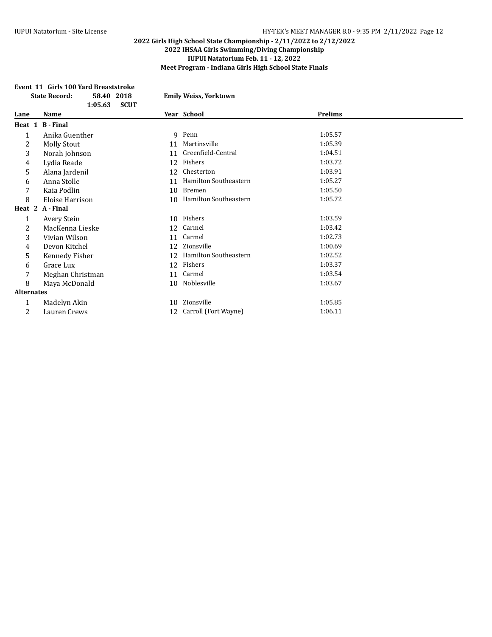## **Event 11 Girls 100 Yard Breaststroke State Record: 58.40 2018 Emily Weiss, Yorktown**

|                   | 1:05.63            | <b>SCUT</b> |                       |         |  |
|-------------------|--------------------|-------------|-----------------------|---------|--|
| Lane              | Name               |             | Year School           | Prelims |  |
|                   | Heat 1 B - Final   |             |                       |         |  |
| 1                 | Anika Guenther     |             | 9 Penn                | 1:05.57 |  |
| 2                 | <b>Molly Stout</b> | 11          | Martinsville          | 1:05.39 |  |
| 3                 | Norah Johnson      | 11          | Greenfield-Central    | 1:04.51 |  |
| 4                 | Lydia Reade        | 12          | Fishers               | 1:03.72 |  |
| 5                 | Alana Jardenil     | 12          | Chesterton            | 1:03.91 |  |
| 6                 | Anna Stolle        | 11          | Hamilton Southeastern | 1:05.27 |  |
| 7                 | Kaia Podlin        | 10          | Bremen                | 1:05.50 |  |
| 8                 | Eloise Harrison    | 10          | Hamilton Southeastern | 1:05.72 |  |
|                   | Heat 2 A - Final   |             |                       |         |  |
| 1                 | Avery Stein        |             | 10 Fishers            | 1:03.59 |  |
| 2                 | MacKenna Lieske    | 12          | Carmel                | 1:03.42 |  |
| 3                 | Vivian Wilson      | 11          | Carmel                | 1:02.73 |  |
| 4                 | Devon Kitchel      | 12          | Zionsville            | 1:00.69 |  |
| 5                 | Kennedy Fisher     | 12          | Hamilton Southeastern | 1:02.52 |  |
| 6                 | Grace Lux          | 12          | Fishers               | 1:03.37 |  |
| 7                 | Meghan Christman   | 11          | Carmel                | 1:03.54 |  |
| 8                 | Maya McDonald      | 10          | Noblesville           | 1:03.67 |  |
| <b>Alternates</b> |                    |             |                       |         |  |
| $\mathbf{1}$      | Madelyn Akin       | 10          | Zionsville            | 1:05.85 |  |
| 2                 | Lauren Crews       | 12          | Carroll (Fort Wayne)  | 1:06.11 |  |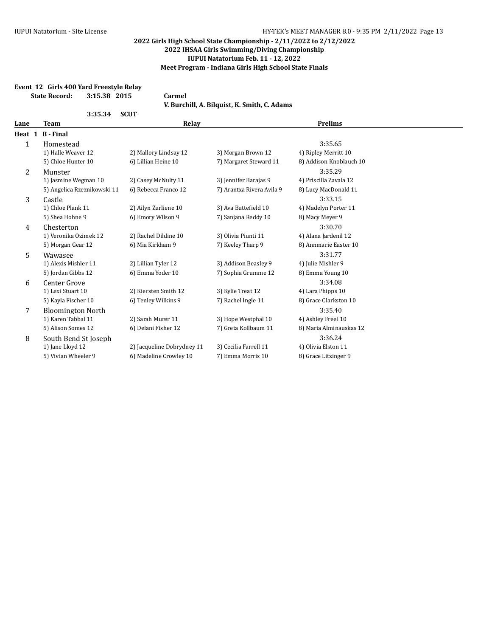### **Event 12 Girls 400 Yard Freestyle Relay State Record: 3:15.38 2015 Carmel**

| 3:35.34 | <b>SCUT</b> |
|---------|-------------|
|         |             |

| V. Burchill, A. Bilquist, K. Smith, C. Adams |  |
|----------------------------------------------|--|
|----------------------------------------------|--|

| Lane         | <b>Team</b>                 | Relay                      |                           | <b>Prelims</b>          |  |
|--------------|-----------------------------|----------------------------|---------------------------|-------------------------|--|
| Heat 1       | <b>B</b> - Final            |                            |                           |                         |  |
| $\mathbf{1}$ | Homestead                   |                            |                           | 3:35.65                 |  |
|              | 1) Halle Weaver 12          | 2) Mallory Lindsay 12      | 3) Morgan Brown 12        | 4) Ripley Merritt 10    |  |
|              | 5) Chloe Hunter 10          | 6) Lillian Heine 10        | 7) Margaret Steward 11    | 8) Addison Knoblauch 10 |  |
| 2            | Munster                     |                            |                           | 3:35.29                 |  |
|              | 1) Jasmine Wegman 10        | 2) Casey McNulty 11        | 3) Jennifer Barajas 9     | 4) Priscilla Zavala 12  |  |
|              | 5) Angelica Rzeznikowski 11 | 6) Rebecca Franco 12       | 7) Arantxa Rivera Avila 9 | 8) Lucy MacDonald 11    |  |
| 3            | Castle                      |                            |                           | 3:33.15                 |  |
|              | 1) Chloe Plank 11           | 2) Ailyn Zurliene 10       | 3) Ava Buttefield 10      | 4) Madelyn Porter 11    |  |
|              | 5) Shea Hohne 9             | 6) Emory Wilson 9          | 7) Sanjana Reddy 10       | 8) Macy Meyer 9         |  |
| 4            | Chesterton                  |                            |                           | 3:30.70                 |  |
|              | 1) Veronika Ozimek 12       | 2) Rachel Dildine 10       | 3) Olivia Piunti 11       | 4) Alana Jardenil 12    |  |
|              | 5) Morgan Gear 12           | 6) Mia Kirkham 9           | 7) Keeley Tharp 9         | 8) Annmarie Easter 10   |  |
| 5            | Wawasee                     |                            |                           | 3:31.77                 |  |
|              | 1) Alexis Mishler 11        | 2) Lillian Tyler 12        | 3) Addison Beasley 9      | 4) Julie Mishler 9      |  |
|              | 5) Jordan Gibbs 12          | 6) Emma Yoder 10           | 7) Sophia Grumme 12       | 8) Emma Young 10        |  |
| 6            | Center Grove                |                            |                           | 3:34.08                 |  |
|              | 1) Lexi Stuart 10           | 2) Kiersten Smith 12       | 3) Kylie Treat 12         | 4) Lara Phipps 10       |  |
|              | 5) Kayla Fischer 10         | 6) Tenley Wilkins 9        | 7) Rachel Ingle 11        | 8) Grace Clarkston 10   |  |
| 7            | <b>Bloomington North</b>    |                            |                           | 3:35.40                 |  |
|              | 1) Karen Tabbal 11          | 2) Sarah Murer 11          | 3) Hope Westphal 10       | 4) Ashley Freel 10      |  |
|              | 5) Alison Somes 12          | 6) Delani Fisher 12        | 7) Greta Kollbaum 11      | 8) Maria Alminauskas 12 |  |
| 8            | South Bend St Joseph        |                            |                           | 3:36.24                 |  |
|              | 1) Jane Lloyd 12            | 2) Jacqueline Dobrydney 11 | 3) Cecilia Farrell 11     | 4) Olivia Elston 11     |  |
|              | 5) Vivian Wheeler 9         | 6) Madeline Crowley 10     | 7) Emma Morris 10         | 8) Grace Litzinger 9    |  |